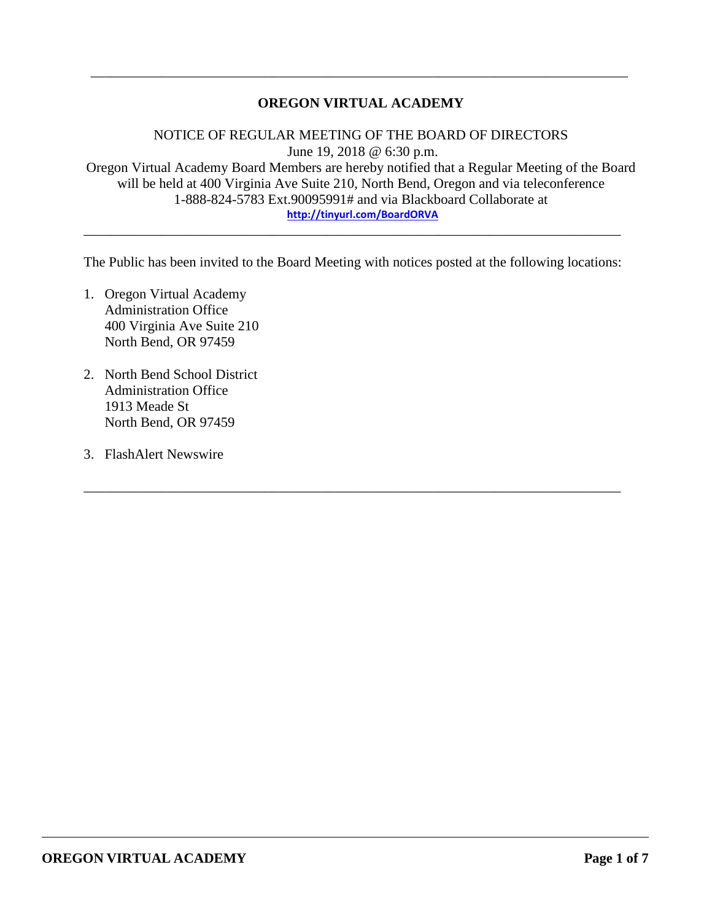# **OREGON VIRTUAL ACADEMY**

\_\_\_\_\_\_\_\_\_\_\_\_\_\_\_\_\_\_\_\_\_\_\_\_\_\_\_\_\_\_\_\_\_\_\_\_\_\_\_\_\_\_\_\_\_\_\_\_\_\_\_\_\_\_\_\_\_\_\_\_\_\_\_\_\_\_\_\_\_\_\_\_\_\_\_\_\_

NOTICE OF REGULAR MEETING OF THE BOARD OF DIRECTORS June 19, 2018 @ 6:30 p.m. Oregon Virtual Academy Board Members are hereby notified that a Regular Meeting of the Board will be held at 400 Virginia Ave Suite 210, North Bend, Oregon and via teleconference 1-888-824-5783 Ext.90095991# and via Blackboard Collaborate at **<http://tinyurl.com/BoardORVA>**

The Public has been invited to the Board Meeting with notices posted at the following locations:

\_\_\_\_\_\_\_\_\_\_\_\_\_\_\_\_\_\_\_\_\_\_\_\_\_\_\_\_\_\_\_\_\_\_\_\_\_\_\_\_\_\_\_\_\_\_\_\_\_\_\_\_\_\_\_\_\_\_\_\_\_\_\_\_\_\_\_\_\_\_\_\_\_\_\_\_\_

\_\_\_\_\_\_\_\_\_\_\_\_\_\_\_\_\_\_\_\_\_\_\_\_\_\_\_\_\_\_\_\_\_\_\_\_\_\_\_\_\_\_\_\_\_\_\_\_\_\_\_\_\_\_\_\_\_\_\_\_\_\_\_\_\_\_\_\_\_\_\_\_\_\_\_\_\_

- 1. Oregon Virtual Academy Administration Office 400 Virginia Ave Suite 210 North Bend, OR 97459
- 2. North Bend School District Administration Office 1913 Meade St North Bend, OR 97459
- 3. FlashAlert Newswire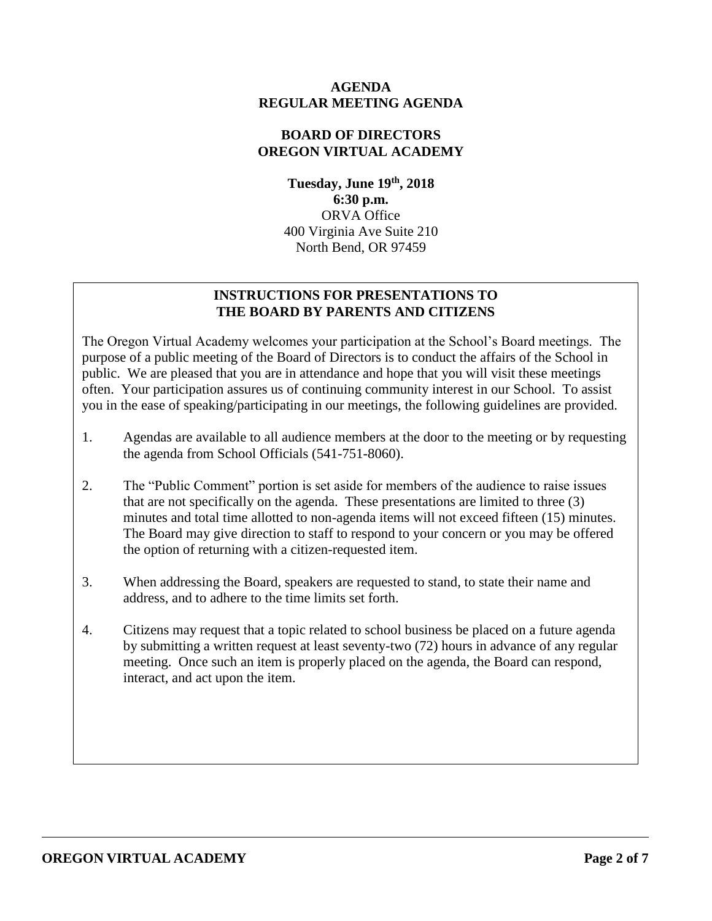### **AGENDA REGULAR MEETING AGENDA**

### **BOARD OF DIRECTORS OREGON VIRTUAL ACADEMY**

**Tuesday, June 19 th , 2018 6:30 p.m.** ORVA Office 400 Virginia Ave Suite 210 North Bend, OR 97459

# **INSTRUCTIONS FOR PRESENTATIONS TO THE BOARD BY PARENTS AND CITIZENS**

The Oregon Virtual Academy welcomes your participation at the School's Board meetings. The purpose of a public meeting of the Board of Directors is to conduct the affairs of the School in public. We are pleased that you are in attendance and hope that you will visit these meetings often. Your participation assures us of continuing community interest in our School. To assist you in the ease of speaking/participating in our meetings, the following guidelines are provided.

- 1. Agendas are available to all audience members at the door to the meeting or by requesting the agenda from School Officials (541-751-8060).
- 2. The "Public Comment" portion is set aside for members of the audience to raise issues that are not specifically on the agenda. These presentations are limited to three (3) minutes and total time allotted to non-agenda items will not exceed fifteen (15) minutes. The Board may give direction to staff to respond to your concern or you may be offered the option of returning with a citizen-requested item.
- 3. When addressing the Board, speakers are requested to stand, to state their name and address, and to adhere to the time limits set forth.
- 4. Citizens may request that a topic related to school business be placed on a future agenda by submitting a written request at least seventy-two (72) hours in advance of any regular meeting. Once such an item is properly placed on the agenda, the Board can respond, interact, and act upon the item.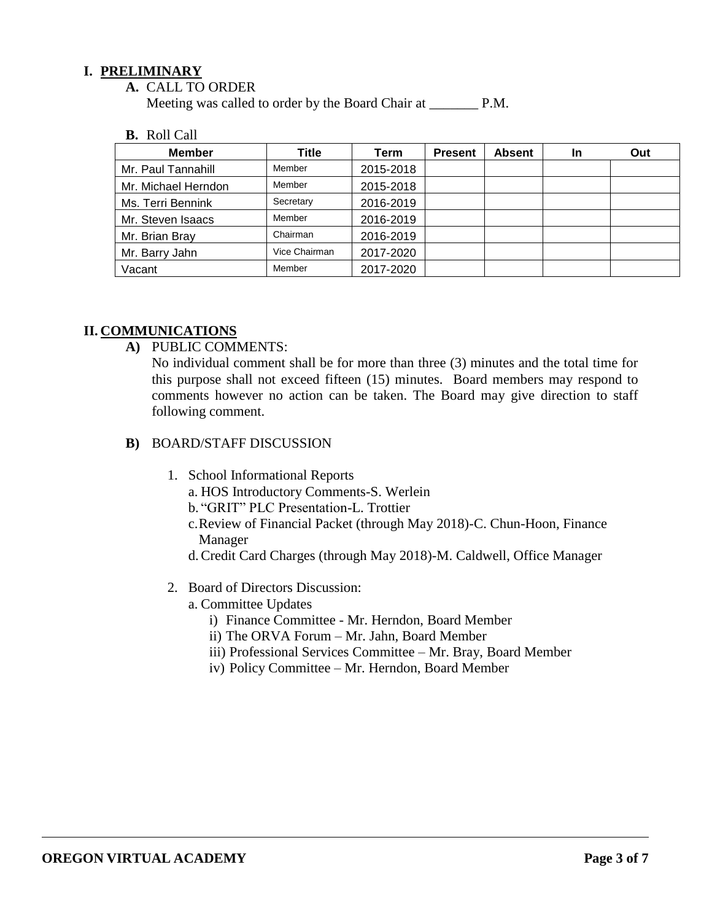### **I. PRELIMINARY**

**A.** CALL TO ORDER

Meeting was called to order by the Board Chair at \_\_\_\_\_\_\_\_\_ P.M.

#### **B.** Roll Call

| <b>Member</b>       | Title         | Term      | <b>Present</b> | <b>Absent</b> | <b>In</b> | Out |
|---------------------|---------------|-----------|----------------|---------------|-----------|-----|
| Mr. Paul Tannahill  | Member        | 2015-2018 |                |               |           |     |
| Mr. Michael Herndon | Member        | 2015-2018 |                |               |           |     |
| Ms. Terri Bennink   | Secretary     | 2016-2019 |                |               |           |     |
| Mr. Steven Isaacs   | Member        | 2016-2019 |                |               |           |     |
| Mr. Brian Bray      | Chairman      | 2016-2019 |                |               |           |     |
| Mr. Barry Jahn      | Vice Chairman | 2017-2020 |                |               |           |     |
| Vacant              | Member        | 2017-2020 |                |               |           |     |

### **II. COMMUNICATIONS**

**A)** PUBLIC COMMENTS:

No individual comment shall be for more than three (3) minutes and the total time for this purpose shall not exceed fifteen (15) minutes. Board members may respond to comments however no action can be taken. The Board may give direction to staff following comment.

- **B)** BOARD/STAFF DISCUSSION
	- 1. School Informational Reports
		- a. HOS Introductory Comments-S. Werlein
		- b. "GRIT" PLC Presentation-L. Trottier
		- c.Review of Financial Packet (through May 2018)-C. Chun-Hoon, Finance Manager
		- d.Credit Card Charges (through May 2018)-M. Caldwell, Office Manager
	- 2. Board of Directors Discussion:
		- a. Committee Updates
			- i) Finance Committee Mr. Herndon, Board Member
			- ii) The ORVA Forum Mr. Jahn, Board Member
			- iii) Professional Services Committee Mr. Bray, Board Member
			- iv) Policy Committee Mr. Herndon, Board Member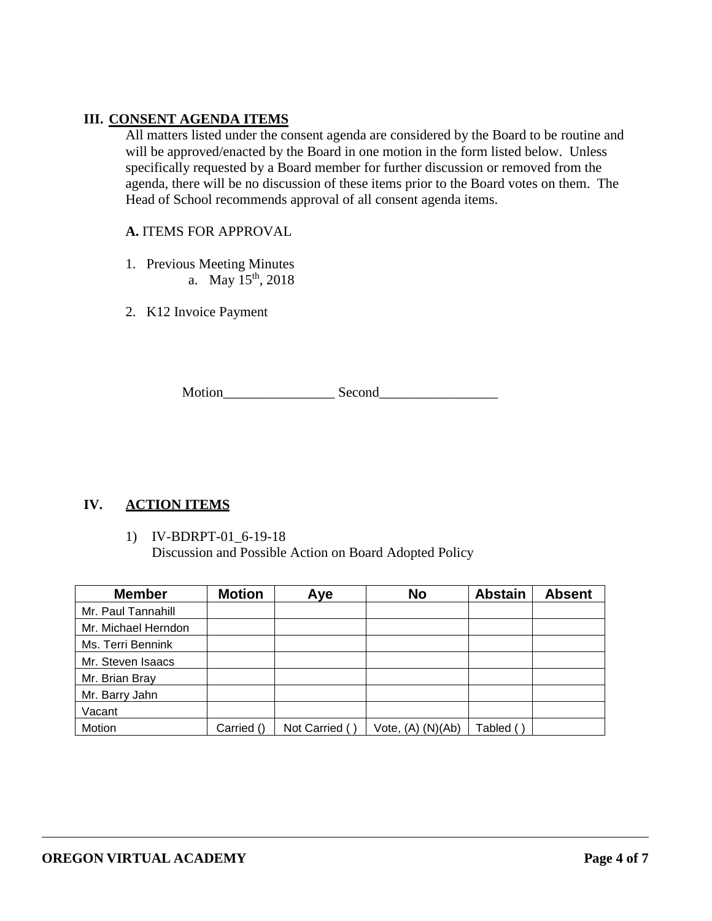# **III. CONSENT AGENDA ITEMS**

All matters listed under the consent agenda are considered by the Board to be routine and will be approved/enacted by the Board in one motion in the form listed below. Unless specifically requested by a Board member for further discussion or removed from the agenda, there will be no discussion of these items prior to the Board votes on them. The Head of School recommends approval of all consent agenda items.

### **A.** ITEMS FOR APPROVAL

- 1. Previous Meeting Minutes
	- a. May  $15^{th}$ , 2018
- 2. K12 Invoice Payment

Motion Second

# **IV. ACTION ITEMS**

#### 1) IV-BDRPT-01\_6-19-18 Discussion and Possible Action on Board Adopted Policy

| <b>Member</b>       | <b>Motion</b> | Aye           | <b>No</b>             | <b>Abstain</b> | <b>Absent</b> |
|---------------------|---------------|---------------|-----------------------|----------------|---------------|
| Mr. Paul Tannahill  |               |               |                       |                |               |
| Mr. Michael Herndon |               |               |                       |                |               |
| Ms. Terri Bennink   |               |               |                       |                |               |
| Mr. Steven Isaacs   |               |               |                       |                |               |
| Mr. Brian Bray      |               |               |                       |                |               |
| Mr. Barry Jahn      |               |               |                       |                |               |
| Vacant              |               |               |                       |                |               |
| Motion              | Carried ()    | Not Carried ( | Vote, $(A)$ $(N)(Ab)$ | Tabled (       |               |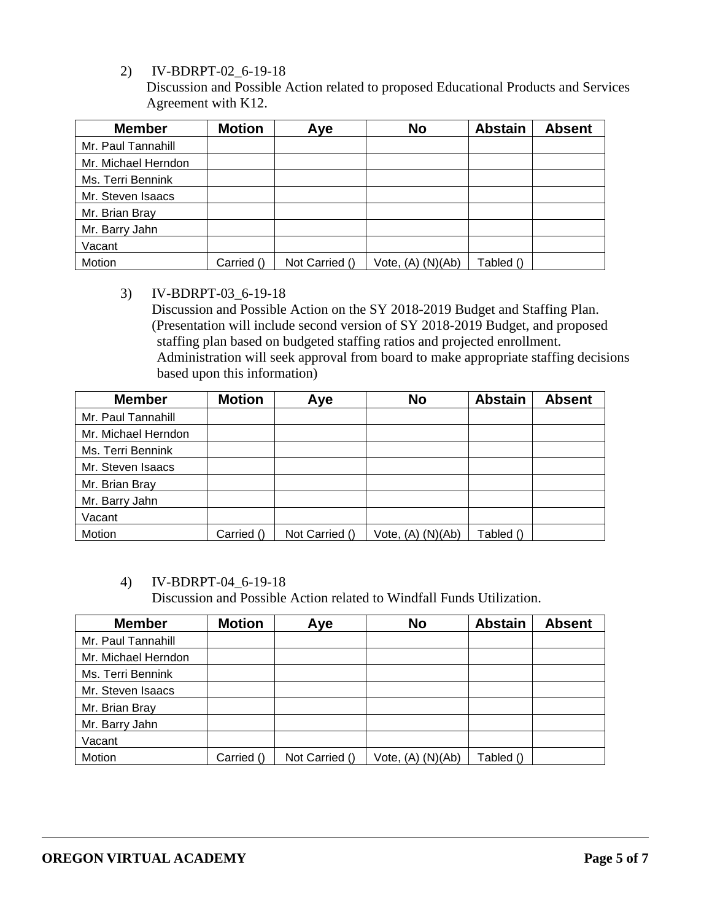2) IV-BDRPT-02\_6-19-18

Discussion and Possible Action related to proposed Educational Products and Services Agreement with K12.

| <b>Member</b>       | <b>Motion</b> | Aye            | <b>No</b>         | <b>Abstain</b> | <b>Absent</b> |
|---------------------|---------------|----------------|-------------------|----------------|---------------|
| Mr. Paul Tannahill  |               |                |                   |                |               |
| Mr. Michael Herndon |               |                |                   |                |               |
| Ms. Terri Bennink   |               |                |                   |                |               |
| Mr. Steven Isaacs   |               |                |                   |                |               |
| Mr. Brian Bray      |               |                |                   |                |               |
| Mr. Barry Jahn      |               |                |                   |                |               |
| Vacant              |               |                |                   |                |               |
| Motion              | Carried ()    | Not Carried () | Vote, (A) (N)(Ab) | Tabled ()      |               |

### 3) IV-BDRPT-03\_6-19-18

Discussion and Possible Action on the SY 2018-2019 Budget and Staffing Plan. (Presentation will include second version of SY 2018-2019 Budget, and proposed staffing plan based on budgeted staffing ratios and projected enrollment. Administration will seek approval from board to make appropriate staffing decisions based upon this information)

| <b>Member</b>       | <b>Motion</b> | Aye            | <b>No</b>             | <b>Abstain</b> | <b>Absent</b> |
|---------------------|---------------|----------------|-----------------------|----------------|---------------|
| Mr. Paul Tannahill  |               |                |                       |                |               |
| Mr. Michael Herndon |               |                |                       |                |               |
| Ms. Terri Bennink   |               |                |                       |                |               |
| Mr. Steven Isaacs   |               |                |                       |                |               |
| Mr. Brian Bray      |               |                |                       |                |               |
| Mr. Barry Jahn      |               |                |                       |                |               |
| Vacant              |               |                |                       |                |               |
| Motion              | Carried ()    | Not Carried () | Vote, $(A)$ $(N)(Ab)$ | Tabled ()      |               |

# 4) IV-BDRPT-04\_6-19-18

Discussion and Possible Action related to Windfall Funds Utilization.

| <b>Member</b>       | <b>Motion</b> | Aye            | <b>No</b>         | <b>Abstain</b> | <b>Absent</b> |
|---------------------|---------------|----------------|-------------------|----------------|---------------|
| Mr. Paul Tannahill  |               |                |                   |                |               |
| Mr. Michael Herndon |               |                |                   |                |               |
| Ms. Terri Bennink   |               |                |                   |                |               |
| Mr. Steven Isaacs   |               |                |                   |                |               |
| Mr. Brian Bray      |               |                |                   |                |               |
| Mr. Barry Jahn      |               |                |                   |                |               |
| Vacant              |               |                |                   |                |               |
| Motion              | Carried ()    | Not Carried () | Vote, (A) (N)(Ab) | Tabled ()      |               |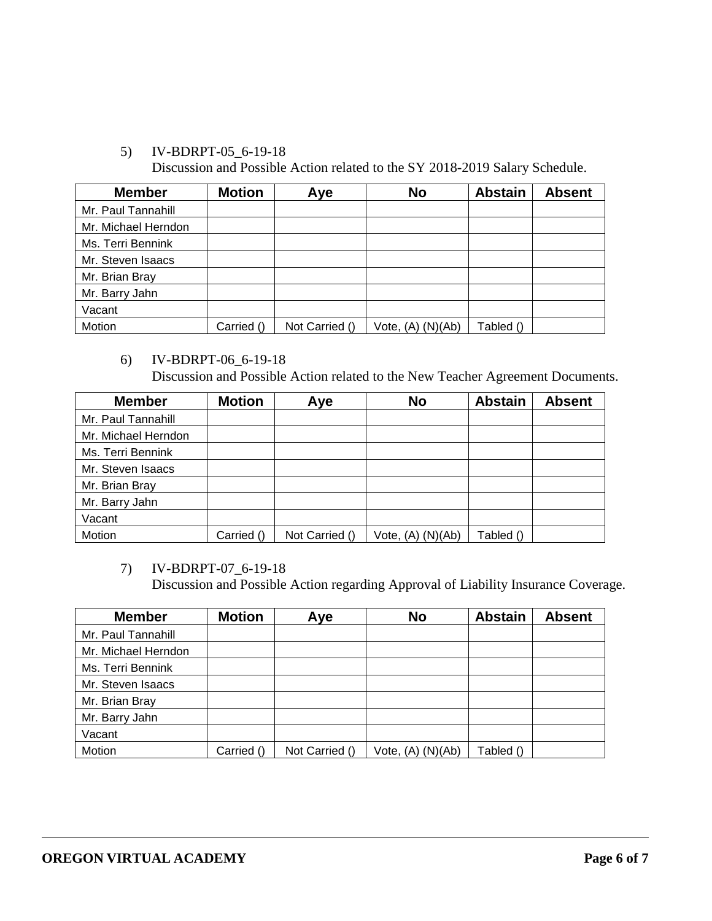# 5) IV-BDRPT-05\_6-19-18

Discussion and Possible Action related to the SY 2018-2019 Salary Schedule.

| <b>Member</b>       | <b>Motion</b> | Aye            | <b>No</b>             | <b>Abstain</b> | <b>Absent</b> |
|---------------------|---------------|----------------|-----------------------|----------------|---------------|
| Mr. Paul Tannahill  |               |                |                       |                |               |
| Mr. Michael Herndon |               |                |                       |                |               |
| Ms. Terri Bennink   |               |                |                       |                |               |
| Mr. Steven Isaacs   |               |                |                       |                |               |
| Mr. Brian Bray      |               |                |                       |                |               |
| Mr. Barry Jahn      |               |                |                       |                |               |
| Vacant              |               |                |                       |                |               |
| Motion              | Carried ()    | Not Carried () | Vote, $(A)$ $(N)(Ab)$ | Tabled ()      |               |

6) IV-BDRPT-06\_6-19-18 Discussion and Possible Action related to the New Teacher Agreement Documents.

| <b>Member</b>       | <b>Motion</b> | Aye            | <b>No</b>             | <b>Abstain</b> | <b>Absent</b> |
|---------------------|---------------|----------------|-----------------------|----------------|---------------|
| Mr. Paul Tannahill  |               |                |                       |                |               |
| Mr. Michael Herndon |               |                |                       |                |               |
| Ms. Terri Bennink   |               |                |                       |                |               |
| Mr. Steven Isaacs   |               |                |                       |                |               |
| Mr. Brian Bray      |               |                |                       |                |               |
| Mr. Barry Jahn      |               |                |                       |                |               |
| Vacant              |               |                |                       |                |               |
| Motion              | Carried ()    | Not Carried () | Vote, $(A)$ $(N)(Ab)$ | Tabled ()      |               |

# 7) IV-BDRPT-07\_6-19-18

Discussion and Possible Action regarding Approval of Liability Insurance Coverage.

| <b>Member</b>       | <b>Motion</b> | Aye            | <b>No</b>             | <b>Abstain</b> | <b>Absent</b> |
|---------------------|---------------|----------------|-----------------------|----------------|---------------|
| Mr. Paul Tannahill  |               |                |                       |                |               |
| Mr. Michael Herndon |               |                |                       |                |               |
| Ms. Terri Bennink   |               |                |                       |                |               |
| Mr. Steven Isaacs   |               |                |                       |                |               |
| Mr. Brian Bray      |               |                |                       |                |               |
| Mr. Barry Jahn      |               |                |                       |                |               |
| Vacant              |               |                |                       |                |               |
| Motion              | Carried ()    | Not Carried () | Vote, $(A)$ $(N)(Ab)$ | Tabled ()      |               |